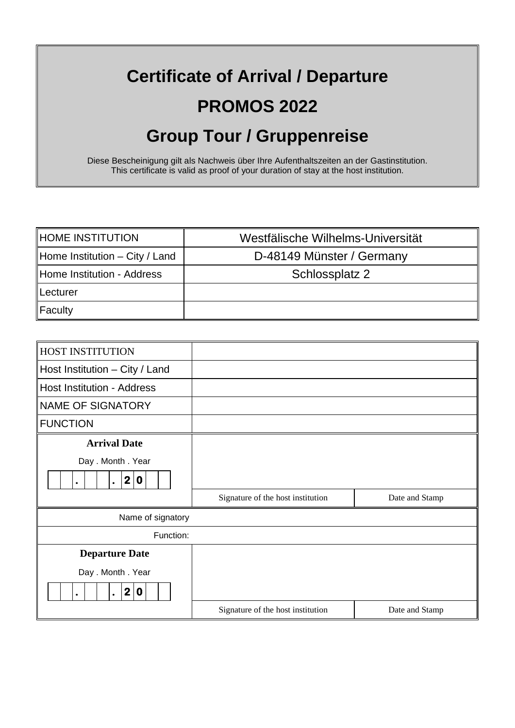## **Certificate of Arrival / Departure PROMOS 2022 Group Tour / Gruppenreise**

Diese Bescheinigung gilt als Nachweis über Ihre Aufenthaltszeiten an der Gastinstitution. This certificate is valid as proof of your duration of stay at the host institution.

| HOME INSTITUTION                 | Westfälische Wilhelms-Universität |
|----------------------------------|-----------------------------------|
| Home Institution $-$ City / Land | D-48149 Münster / Germany         |
| Home Institution - Address       | Schlossplatz 2                    |
| ∥Lecturer                        |                                   |
| $\ $ Faculty                     |                                   |

| <b>HOST INSTITUTION</b>                                                         |                                   |                |  |  |
|---------------------------------------------------------------------------------|-----------------------------------|----------------|--|--|
| Host Institution - City / Land                                                  |                                   |                |  |  |
| <b>Host Institution - Address</b>                                               |                                   |                |  |  |
| NAME OF SIGNATORY                                                               |                                   |                |  |  |
| <b>FUNCTION</b>                                                                 |                                   |                |  |  |
| <b>Arrival Date</b>                                                             |                                   |                |  |  |
| Day . Month . Year<br>$\boldsymbol{2}$<br>$\mathbf 0$<br>$\bullet$<br>$\bullet$ |                                   |                |  |  |
|                                                                                 | Signature of the host institution | Date and Stamp |  |  |
| Name of signatory                                                               |                                   |                |  |  |
| Function:                                                                       |                                   |                |  |  |
| <b>Departure Date</b>                                                           |                                   |                |  |  |
| Day . Month . Year                                                              |                                   |                |  |  |
| 2 <sub>1</sub><br>$\mathbf 0$<br>$\bullet$<br>$\bullet$                         |                                   |                |  |  |
|                                                                                 | Signature of the host institution | Date and Stamp |  |  |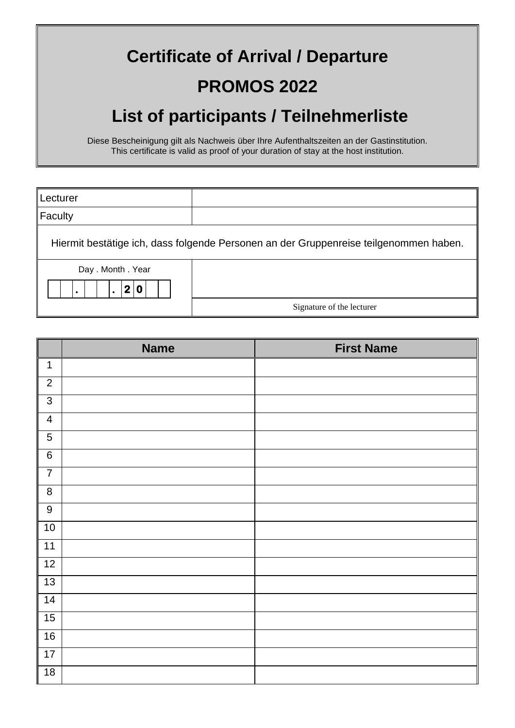## **Certificate of Arrival / Departure PROMOS 2022**

## **List of participants / Teilnehmerliste**

Diese Bescheinigung gilt als Nachweis über Ihre Aufenthaltszeiten an der Gastinstitution. This certificate is valid as proof of your duration of stay at the host institution.

| <b>Lecturer</b>                                                                       |                           |  |
|---------------------------------------------------------------------------------------|---------------------------|--|
| Faculty                                                                               |                           |  |
| Hiermit bestätige ich, dass folgende Personen an der Gruppenreise teilgenommen haben. |                           |  |
| Day . Month . Year<br>$\overline{2}$                                                  |                           |  |
|                                                                                       | Signature of the lecturer |  |

|                         | <b>Name</b> | <b>First Name</b> |
|-------------------------|-------------|-------------------|
| $\mathbf 1$             |             |                   |
| $\overline{2}$          |             |                   |
| $\mathfrak{S}$          |             |                   |
| $\overline{\mathbf{4}}$ |             |                   |
| $\sqrt{5}$              |             |                   |
| $\overline{6}$          |             |                   |
| $\overline{7}$          |             |                   |
| $\bf 8$                 |             |                   |
| $\boldsymbol{9}$        |             |                   |
| 10                      |             |                   |
| 11                      |             |                   |
| 12                      |             |                   |
| 13                      |             |                   |
| 14                      |             |                   |
| 15                      |             |                   |
| 16                      |             |                   |
| 17                      |             |                   |
| 18                      |             |                   |